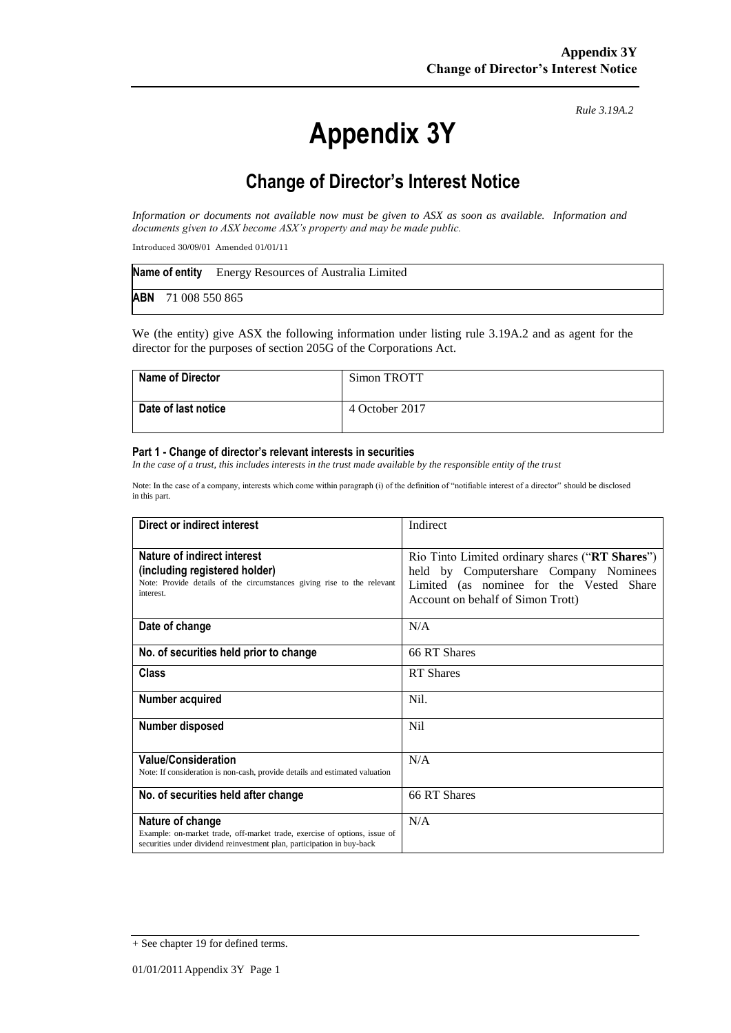# **Appendix 3Y**

*Rule 3.19A.2*

# **Change of Director's Interest Notice**

*Information or documents not available now must be given to ASX as soon as available. Information and documents given to ASX become ASX's property and may be made public.*

Introduced 30/09/01 Amended 01/01/11

|  | Name of entity Energy Resources of Australia Limited |
|--|------------------------------------------------------|
|  | <b>ABN</b> 71 008 550 865                            |

We (the entity) give ASX the following information under listing rule 3.19A.2 and as agent for the director for the purposes of section 205G of the Corporations Act.

| <b>Name of Director</b> | Simon TROTT    |
|-------------------------|----------------|
| Date of last notice     | 4 October 2017 |

#### **Part 1 - Change of director's relevant interests in securities**

*In the case of a trust, this includes interests in the trust made available by the responsible entity of the trust* 

Note: In the case of a company, interests which come within paragraph (i) of the definition of "notifiable interest of a director" should be disclosed in this part.

| Direct or indirect interest                                                                                                                                             | Indirect                                                                                                                                                                   |
|-------------------------------------------------------------------------------------------------------------------------------------------------------------------------|----------------------------------------------------------------------------------------------------------------------------------------------------------------------------|
| Nature of indirect interest<br>(including registered holder)<br>Note: Provide details of the circumstances giving rise to the relevant<br>interest.                     | Rio Tinto Limited ordinary shares ("RT Shares")<br>held by Computershare Company Nominees<br>Limited (as nominee for the Vested Share<br>Account on behalf of Simon Trott) |
| Date of change                                                                                                                                                          | N/A                                                                                                                                                                        |
| No. of securities held prior to change                                                                                                                                  | 66 RT Shares                                                                                                                                                               |
| <b>Class</b>                                                                                                                                                            | <b>RT</b> Shares                                                                                                                                                           |
| Number acquired                                                                                                                                                         | Nil.                                                                                                                                                                       |
| Number disposed                                                                                                                                                         | Nil                                                                                                                                                                        |
| <b>Value/Consideration</b><br>Note: If consideration is non-cash, provide details and estimated valuation                                                               | N/A                                                                                                                                                                        |
| No. of securities held after change                                                                                                                                     | 66 RT Shares                                                                                                                                                               |
| Nature of change<br>Example: on-market trade, off-market trade, exercise of options, issue of<br>securities under dividend reinvestment plan, participation in buy-back | N/A                                                                                                                                                                        |

<sup>+</sup> See chapter 19 for defined terms.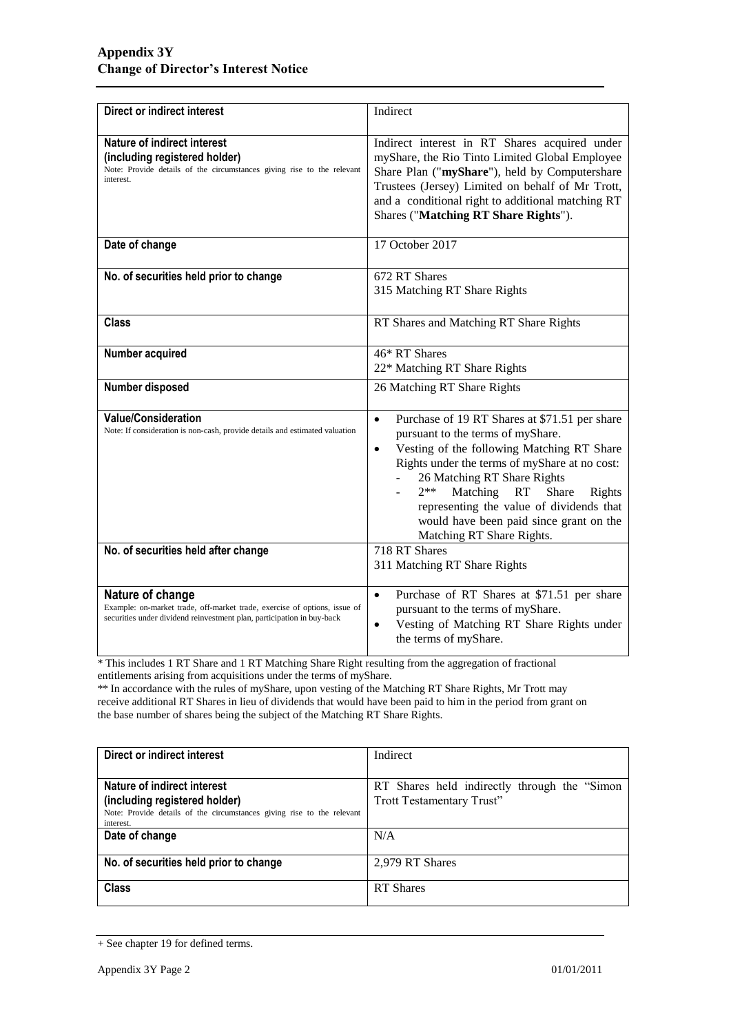| <b>Direct or indirect interest</b>                                                                                                                                      | Indirect                                                                                                                                                                                                                                                                                                                                                                                                     |  |
|-------------------------------------------------------------------------------------------------------------------------------------------------------------------------|--------------------------------------------------------------------------------------------------------------------------------------------------------------------------------------------------------------------------------------------------------------------------------------------------------------------------------------------------------------------------------------------------------------|--|
| Nature of indirect interest<br>(including registered holder)<br>Note: Provide details of the circumstances giving rise to the relevant<br>interest.                     | Indirect interest in RT Shares acquired under<br>myShare, the Rio Tinto Limited Global Employee<br>Share Plan ("myShare"), held by Computershare<br>Trustees (Jersey) Limited on behalf of Mr Trott,<br>and a conditional right to additional matching RT<br>Shares ("Matching RT Share Rights").                                                                                                            |  |
| Date of change                                                                                                                                                          | 17 October 2017                                                                                                                                                                                                                                                                                                                                                                                              |  |
| No. of securities held prior to change                                                                                                                                  | 672 RT Shares<br>315 Matching RT Share Rights                                                                                                                                                                                                                                                                                                                                                                |  |
| <b>Class</b>                                                                                                                                                            | RT Shares and Matching RT Share Rights                                                                                                                                                                                                                                                                                                                                                                       |  |
| Number acquired                                                                                                                                                         | 46* RT Shares<br>22* Matching RT Share Rights                                                                                                                                                                                                                                                                                                                                                                |  |
| Number disposed                                                                                                                                                         | 26 Matching RT Share Rights                                                                                                                                                                                                                                                                                                                                                                                  |  |
| <b>Value/Consideration</b><br>Note: If consideration is non-cash, provide details and estimated valuation                                                               | Purchase of 19 RT Shares at \$71.51 per share<br>$\bullet$<br>pursuant to the terms of myShare.<br>Vesting of the following Matching RT Share<br>$\bullet$<br>Rights under the terms of myShare at no cost:<br>26 Matching RT Share Rights<br>$2**$<br>Matching<br>RT<br>Share<br>Rights<br>representing the value of dividends that<br>would have been paid since grant on the<br>Matching RT Share Rights. |  |
| No. of securities held after change                                                                                                                                     | 718 RT Shares<br>311 Matching RT Share Rights                                                                                                                                                                                                                                                                                                                                                                |  |
| Nature of change<br>Example: on-market trade, off-market trade, exercise of options, issue of<br>securities under dividend reinvestment plan, participation in buy-back | Purchase of RT Shares at \$71.51 per share<br>$\bullet$<br>pursuant to the terms of myShare.<br>Vesting of Matching RT Share Rights under<br>the terms of myShare.                                                                                                                                                                                                                                           |  |

\* This includes 1 RT Share and 1 RT Matching Share Right resulting from the aggregation of fractional entitlements arising from acquisitions under the terms of myShare.

\*\* In accordance with the rules of myShare, upon vesting of the Matching RT Share Rights, Mr Trott may receive additional RT Shares in lieu of dividends that would have been paid to him in the period from grant on the base number of shares being the subject of the Matching RT Share Rights.

| Direct or indirect interest                                                                                                                         | Indirect                                                                   |
|-----------------------------------------------------------------------------------------------------------------------------------------------------|----------------------------------------------------------------------------|
| Nature of indirect interest<br>(including registered holder)<br>Note: Provide details of the circumstances giving rise to the relevant<br>interest. | RT Shares held indirectly through the "Simon"<br>Trott Testamentary Trust" |
| Date of change                                                                                                                                      | N/A                                                                        |
| No. of securities held prior to change                                                                                                              | 2,979 RT Shares                                                            |
| <b>Class</b>                                                                                                                                        | <b>RT</b> Shares                                                           |

<sup>+</sup> See chapter 19 for defined terms.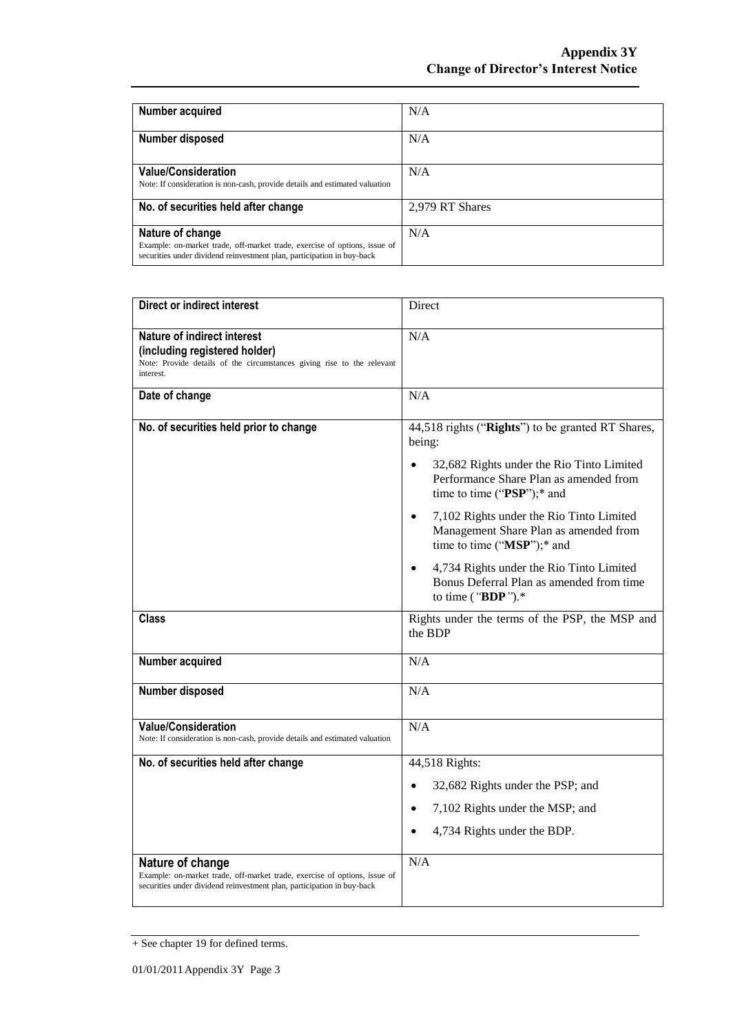| Number acquired                                                                                                                                                         | N/A             |
|-------------------------------------------------------------------------------------------------------------------------------------------------------------------------|-----------------|
| Number disposed                                                                                                                                                         | N/A             |
| <b>Value/Consideration</b><br>Note: If consideration is non-cash, provide details and estimated valuation                                                               | N/A             |
| No. of securities held after change                                                                                                                                     | 2,979 RT Shares |
| Nature of change<br>Example: on-market trade, off-market trade, exercise of options, issue of<br>securities under dividend reinvestment plan, participation in buy-back | N/A             |

| <b>Direct or indirect interest</b>                                                                                                                                      | Direct                                                                                                                                                                                                                                                                                                                                                                                                               |  |
|-------------------------------------------------------------------------------------------------------------------------------------------------------------------------|----------------------------------------------------------------------------------------------------------------------------------------------------------------------------------------------------------------------------------------------------------------------------------------------------------------------------------------------------------------------------------------------------------------------|--|
| Nature of indirect interest<br>(including registered holder)<br>Note: Provide details of the circumstances giving rise to the relevant<br>interest.                     | N/A                                                                                                                                                                                                                                                                                                                                                                                                                  |  |
| Date of change                                                                                                                                                          | N/A                                                                                                                                                                                                                                                                                                                                                                                                                  |  |
| No. of securities held prior to change                                                                                                                                  | 44,518 rights ("Rights") to be granted RT Shares,<br>being:<br>32,682 Rights under the Rio Tinto Limited<br>Performance Share Plan as amended from<br>time to time ("PSP");* and<br>7,102 Rights under the Rio Tinto Limited<br>Management Share Plan as amended from<br>time to time ("MSP");* and<br>4,734 Rights under the Rio Tinto Limited<br>Bonus Deferral Plan as amended from time<br>to time (" $BDP$ ").* |  |
| Class                                                                                                                                                                   | Rights under the terms of the PSP, the MSP and<br>the BDP                                                                                                                                                                                                                                                                                                                                                            |  |
| Number acquired                                                                                                                                                         | N/A                                                                                                                                                                                                                                                                                                                                                                                                                  |  |
| Number disposed                                                                                                                                                         | N/A                                                                                                                                                                                                                                                                                                                                                                                                                  |  |
| <b>Value/Consideration</b><br>Note: If consideration is non-cash, provide details and estimated valuation                                                               | N/A                                                                                                                                                                                                                                                                                                                                                                                                                  |  |
| No. of securities held after change                                                                                                                                     | 44,518 Rights:<br>32,682 Rights under the PSP; and<br>7,102 Rights under the MSP; and<br>4,734 Rights under the BDP.                                                                                                                                                                                                                                                                                                 |  |
| Nature of change<br>Example: on-market trade, off-market trade, exercise of options, issue of<br>securities under dividend reinvestment plan, participation in buy-back | N/A                                                                                                                                                                                                                                                                                                                                                                                                                  |  |

<sup>+</sup> See chapter 19 for defined terms.